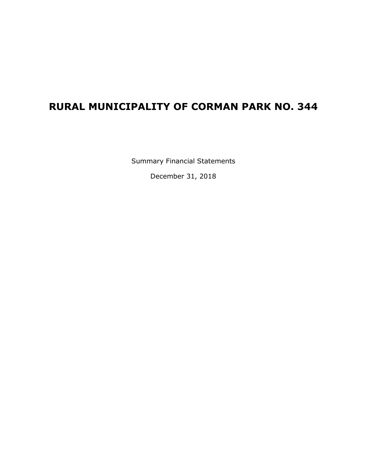## **RURAL MUNICIPALITY OF CORMAN PARK NO. 344**

Summary Financial Statements

December 31, 2018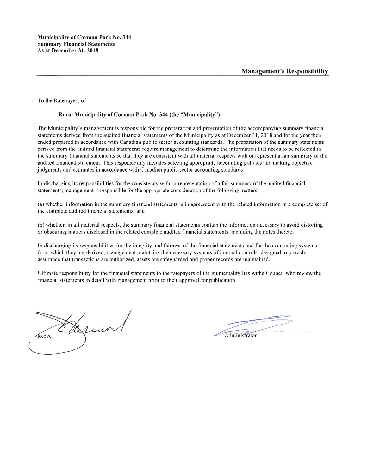To the Ratepayers of

#### Rural Municipality of Corman Park No. 344 (the "Municipality")

The Municipality's management is responsible for the preparation and presentation of the accompanying summary financial statements derived from the audited financial statements of the Municipality as at December 31, 2018 and for the year then ended prepared in accordance with Canadian public sector accounting standards. The preparation of the summary statements derived from the audited financial statements require management to determine the information that needs to be reflected in the summary financial statements so that they are consistent with all material respects with or represent a fair summary of the audited financial statement. This responsibility includes selecting appropriate accounting policies and making objective judgments and estimates in accordance with Canadian public sector accounting standards.

In discharging its responsibilities for the consistency with or representation of a fair summary of the audited financial statements, management is responsible for the appropriate consideration of the following matters:

(a) whether information in the summary financial statements is in agreement with the related information in a complete set of the complete audited financial statements; and

(b) whether, in all material respects, the summary financial statements contain the information necessary to avoid distorting or obscuring matters disclosed in the related complete audited financial statements, including the notes thereto.

In discharging its responsibilities for the integrity and fairness of the financial statements and for the accounting systems from which they are derived, management maintains the necessary systems of internal controls designed to provide assurance that transactions are authorized, assets are safeguarded and proper records are maintained.

Ultimate responsibility for the financial statements to the ratepayers of the municipality lies withe Council who review the financial statements in detail with management prior to their approval for publication.

Lino Reeve

Administrator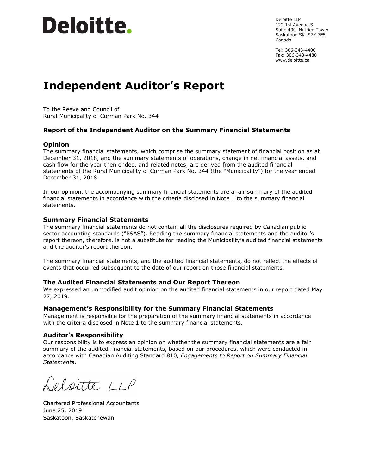# Deloitte.

Deloitte LLP 122 1st Avenue S Suite 400 Nutrien Tower Saskatoon SK S7K 7E5 Canada

Tel: 306-343-4400 Fax: 306-343-4480 www.deloitte.ca

## **Independent Auditor's Report**

To the Reeve and Council of Rural Municipality of Corman Park No. 344

#### **Report of the Independent Auditor on the Summary Financial Statements**

#### **Opinion**

The summary financial statements, which comprise the summary statement of financial position as at December 31, 2018, and the summary statements of operations, change in net financial assets, and cash flow for the year then ended, and related notes, are derived from the audited financial statements of the Rural Municipality of Corman Park No. 344 (the "Municipality") for the year ended December 31, 2018.

In our opinion, the accompanying summary financial statements are a fair summary of the audited financial statements in accordance with the criteria disclosed in Note 1 to the summary financial statements.

#### **Summary Financial Statements**

The summary financial statements do not contain all the disclosures required by Canadian public sector accounting standards ("PSAS"). Reading the summary financial statements and the auditor's report thereon, therefore, is not a substitute for reading the Municipality's audited financial statements and the auditor's report thereon.

The summary financial statements, and the audited financial statements, do not reflect the effects of events that occurred subsequent to the date of our report on those financial statements.

#### **The Audited Financial Statements and Our Report Thereon**

We expressed an unmodified audit opinion on the audited financial statements in our report dated May 27, 2019.

#### **Management's Responsibility for the Summary Financial Statements**

Management is responsible for the preparation of the summary financial statements in accordance with the criteria disclosed in Note 1 to the summary financial statements.

#### **Auditor's Responsibility**

Our responsibility is to express an opinion on whether the summary financial statements are a fair summary of the audited financial statements, based on our procedures, which were conducted in accordance with Canadian Auditing Standard 810, *Engagements to Report on Summary Financial Statements*.

Deloitte LLP

Chartered Professional Accountants June 25, 2019 Saskatoon, Saskatchewan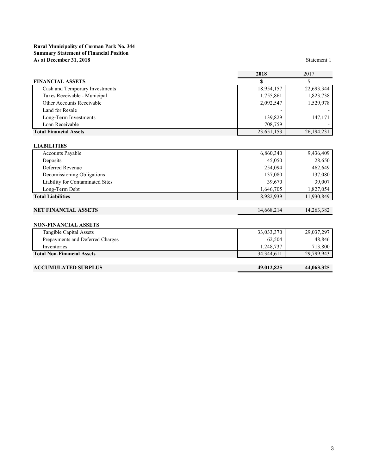#### **Rural Municipality of Corman Park No. 344 Summary Statement of Financial Position As at December 31, 2018**

Statement 1

|                                   | 2018       | 2017       |
|-----------------------------------|------------|------------|
| <b>FINANCIAL ASSETS</b>           | \$         | S          |
| Cash and Temporary Investments    | 18,954,157 | 22,693,344 |
| Taxes Receivable - Municipal      | 1,755,861  | 1,823,738  |
| Other Accounts Receivable         | 2,092,547  | 1,529,978  |
| Land for Resale                   |            |            |
| Long-Term Investments             | 139,829    | 147,171    |
| Loan Receivable                   | 708,759    |            |
| <b>Total Financial Assets</b>     | 23,651,153 | 26,194,231 |
|                                   |            |            |
| <b>LIABILITIES</b>                |            |            |
| <b>Accounts Payable</b>           | 6,860,340  | 9,436,409  |
| Deposits                          | 45,050     | 28,650     |
| Deferred Revenue                  | 254,094    | 462,649    |
| Decomissioning Obligations        | 137,080    | 137,080    |
| Liability for Contaminated Sites  | 39,670     | 39,007     |
| Long-Term Debt                    | 1,646,705  | 1,827,054  |
| <b>Total Liabilities</b>          | 8,982,939  | 11,930,849 |
|                                   |            |            |
| <b>NET FINANCIAL ASSETS</b>       | 14,668,214 | 14,263,382 |
|                                   |            |            |
| <b>NON-FINANCIAL ASSETS</b>       |            |            |
| Tangible Capital Assets           | 33,033,370 | 29,037,297 |
| Prepayments and Deferred Charges  | 62,504     | 48,846     |
| Inventories                       | 1,248,737  | 713,800    |
| <b>Total Non-Financial Assets</b> | 34,344,611 | 29,799,943 |
|                                   |            |            |

### **ACCUMULATED SURPLUS 49,012,825 44,063,325**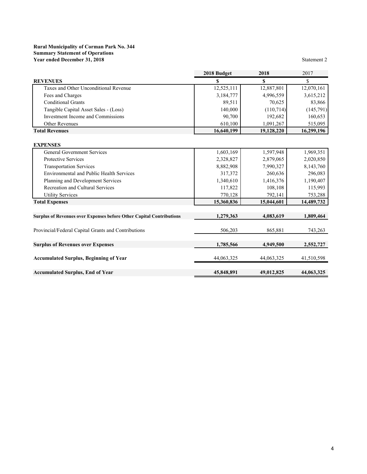#### **Rural Municipality of Corman Park No. 344 Summary Statement of Operations Year ended December 31, 2018**

|                                                                      | 2018 Budget | 2018       | 2017       |
|----------------------------------------------------------------------|-------------|------------|------------|
| <b>REVENUES</b>                                                      | S           | \$         | \$         |
| Taxes and Other Unconditional Revenue                                | 12,525,111  | 12,887,801 | 12,070,161 |
| Fees and Charges                                                     | 3,184,777   | 4,996,559  | 3,615,212  |
| <b>Conditional Grants</b>                                            | 89,511      | 70,625     | 83,866     |
| Tangible Capital Asset Sales - (Loss)                                | 140,000     | (110, 714) | (145,791)  |
| Investment Income and Commissions                                    | 90,700      | 192,682    | 160,653    |
| <b>Other Revenues</b>                                                | 610,100     | 1,091,267  | 515,095    |
| <b>Total Revenues</b>                                                | 16,640,199  | 19,128,220 | 16,299,196 |
| <b>EXPENSES</b>                                                      |             |            |            |
| <b>General Government Services</b>                                   | 1,603,169   | 1,597,948  | 1,969,351  |
| Protective Services                                                  | 2,328,827   | 2,879,065  | 2,020,850  |
| <b>Transportation Services</b>                                       | 8,882,908   | 7,990,327  | 8,143,760  |
| <b>Environmental and Public Health Services</b>                      | 317,372     | 260,636    | 296,083    |
| Planning and Development Services                                    | 1,340,610   | 1,416,376  | 1,190,407  |
| Recreation and Cultural Services                                     | 117,822     | 108,108    | 115,993    |
| <b>Utility Services</b>                                              | 770,128     | 792,141    | 753,288    |
| <b>Total Expenses</b>                                                | 15,360,836  | 15,044,601 | 14,489,732 |
| Surplus of Revenues over Expenses before Other Capital Contributions | 1,279,363   | 4,083,619  | 1,809,464  |
| Provincial/Federal Capital Grants and Contributions                  | 506,203     | 865,881    | 743,263    |
| <b>Surplus of Revenues over Expenses</b>                             | 1,785,566   | 4,949,500  | 2,552,727  |
| <b>Accumulated Surplus, Beginning of Year</b>                        | 44,063,325  | 44,063,325 | 41,510,598 |
| <b>Accumulated Surplus, End of Year</b>                              | 45,848,891  | 49,012,825 | 44,063,325 |

Statement 2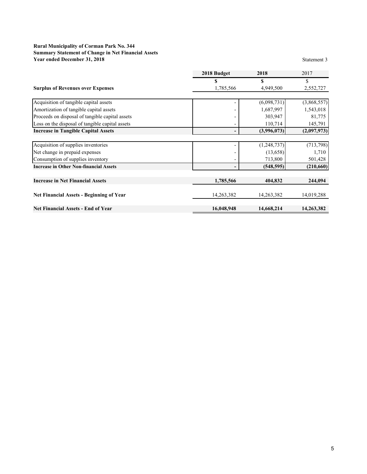#### **Rural Municipality of Corman Park No. 344 Summary Statement of Change in Net Financial Assets Year ended December 31, 2018** Statement 3

|                                                 | 2018 Budget | 2018        | 2017        |
|-------------------------------------------------|-------------|-------------|-------------|
|                                                 | S           | \$          | \$          |
| <b>Surplus of Revenues over Expenses</b>        | 1,785,566   | 4,949,500   | 2,552,727   |
|                                                 |             |             |             |
| Acquisition of tangible capital assets          |             | (6,098,731) | (3,868,557) |
| Amortization of tangible capital assets         |             | 1,687,997   | 1,543,018   |
| Proceeds on disposal of tangible capital assets |             | 303,947     | 81,775      |
| Loss on the disposal of tangible capital assets |             | 110,714     | 145,791     |
| <b>Increase in Tangible Capital Assets</b>      |             | (3,996,073) | (2,097,973) |
|                                                 |             |             |             |
| Acquisition of supplies inventories             |             | (1,248,737) | (713, 798)  |
| Net change in prepaid expenses                  |             | (13, 658)   | 1,710       |
| Consumption of supplies inventory               |             | 713,800     | 501,428     |
| <b>Increase in Other Non-financial Assets</b>   |             | (548, 595)  | (210, 660)  |
| <b>Increase in Net Financial Assets</b>         | 1,785,566   | 404,832     | 244,094     |
| <b>Net Financial Assets - Beginning of Year</b> | 14,263,382  | 14,263,382  | 14,019,288  |
| <b>Net Financial Assets - End of Year</b>       | 16,048,948  | 14,668,214  | 14,263,382  |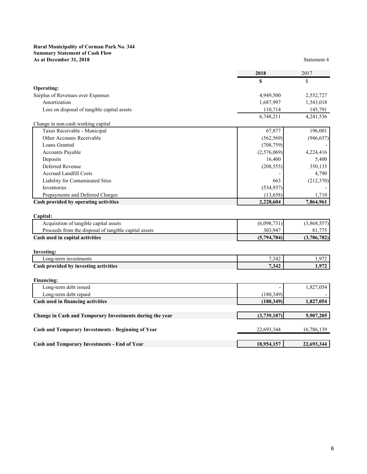#### **Rural Municipality of Corman Park No. 344 Summary Statement of Cash Flow As at December 31, 2018** Statement 4

|                                             | 2018      | 2017      |
|---------------------------------------------|-----------|-----------|
|                                             | S         |           |
| <b>Operating:</b>                           |           |           |
| Surplus of Revenues over Expenses           | 4,949,500 | 2,552,727 |
| Amortization                                | 1,687,997 | 1,543,018 |
| Loss on disposal of tangible capital assets | 110.714   | 145,791   |
|                                             | 6.748.211 | 4 241 536 |

|                                       | 6,748,211   | 4,241,536  |
|---------------------------------------|-------------|------------|
| Change in non-cash working capital    |             |            |
| Taxes Receivable - Municipal          | 67,877      | 196,001    |
| Other Accounts Receivable             | (562, 569)  | (946, 657) |
| Loans Granted                         | (708, 759)  |            |
| Accounts Payable                      | (2,576,069) | 4,224,416  |
| Deposits                              | 16,400      | 5,400      |
| Deferred Revenue                      | (208, 555)  | 350,135    |
| <b>Accrued Landfill Costs</b>         |             | 4,790      |
| Liability for Contaminated Sites      | 663         | (212,370)  |
| Inventories                           | (534, 937)  |            |
| Prepayments and Deferred Charges      | (13,658)    | 1,710      |
| Cash provided by operating activities | 2,228,604   | 7,864,961  |

| Capital:                                              |             |             |
|-------------------------------------------------------|-------------|-------------|
| Acquisition of tangible capital assets                | (6,098,731) | (3,868,557) |
| Proceeds from the disposal of tangible capital assets | 303.947     | 81.775      |
| Cash used in capital activities                       | (5.794.784) | (3,786,782) |
|                                                       |             |             |

| <b>Investing:</b>                     |       |       |
|---------------------------------------|-------|-------|
| Long-term investments                 | 7,342 | 1,972 |
| Cash provided by investing activities | 7,342 | 1.972 |
|                                       |       |       |
| <b>Financing:</b>                     |       |       |

| Long-term debt issued                                     |             | 1,827,054  |
|-----------------------------------------------------------|-------------|------------|
| Long-term debt repaid                                     | (180, 349)  |            |
| Cash used in financing activities                         | (180, 349)  | 1,827,054  |
|                                                           |             |            |
| Change in Cash and Temporary Investments during the year  | (3,739,187) | 5,907,205  |
|                                                           |             |            |
| <b>Cash and Temporary Investments - Beginning of Year</b> | 22,693,344  | 16,786,139 |
|                                                           |             |            |
| <b>Cash and Temporary Investments - End of Year</b>       | 18,954,157  | 22,693,344 |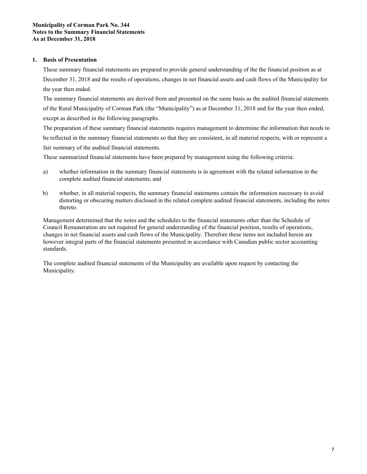#### **Municipality of Corman Park No. 344 Notes to the Summary Financial Statements As at December 31, 2018**

#### **1. Basis of Presentation**

These summary financial statements are prepared to provide general understanding of the the financial position as at December 31, 2018 and the results of operations, changes in net financial assets and cash flows of the Municipality for the year then ended.

The summary financial statements are derived from and presented on the same basis as the audited financial statements of the Rural Municipality of Corman Park (the "Municipality") as at December 31, 2018 and for the year then ended, except as described in the following paragraphs.

The preparation of these summary financial statements requires management to determine the information that needs to be reflected in the summary financial statements so that they are consistent, in all material respects, with or represent a fair summary of the audited financial statements.

These summarized financial statements have been prepared by management using the following criteria:

- a) whether information in the summary financial statements is in agreement with the related information in the complete audited financial statements; and
- b) whether, in all material respects, the summary financial statements contain the information necessary to avoid distorting or obscuring matters disclosed in the related complete audited financial statements, including the notes thereto.

Management determined that the notes and the schedules to the financial statements other than the Schedule of Council Remuneration are not required for general understanding of the financial position, results of operations, changes in net financial assets and cash flows of the Municipality. Therefore these items not included herein are however integral parts of the financial statements presented in accordance with Canadian public sector accounting standards.

The complete audited financial statements of the Municipality are available upon request by contacting the Municipality.